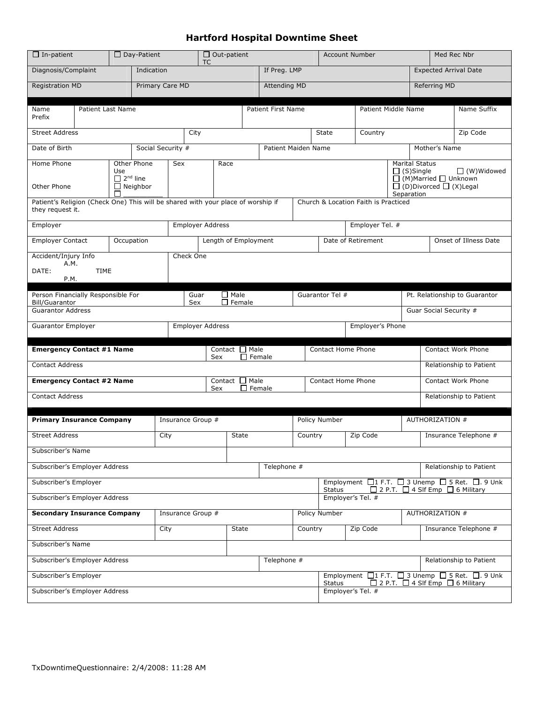## Hartford Hospital Downtime Sheet

| $\Box$ In-patient                                                                                                                            |                                                                                                                                                             | $\Box$ Day-Patient | $\Box$ Out-patient<br><b>TC</b> |                                             |                                             |  |                     |                    | <b>Account Number</b>                                   |                     |                                                                                              | Med Rec Nbr                  |                               |                         |
|----------------------------------------------------------------------------------------------------------------------------------------------|-------------------------------------------------------------------------------------------------------------------------------------------------------------|--------------------|---------------------------------|---------------------------------------------|---------------------------------------------|--|---------------------|--------------------|---------------------------------------------------------|---------------------|----------------------------------------------------------------------------------------------|------------------------------|-------------------------------|-------------------------|
| Diagnosis/Complaint<br>Indication                                                                                                            |                                                                                                                                                             |                    |                                 |                                             |                                             |  |                     | If Preg. LMP       |                                                         |                     |                                                                                              | <b>Expected Arrival Date</b> |                               |                         |
| Primary Care MD<br><b>Registration MD</b>                                                                                                    |                                                                                                                                                             |                    |                                 |                                             |                                             |  |                     |                    | <b>Attending MD</b>                                     |                     |                                                                                              |                              | Referring MD                  |                         |
| Patient Last Name<br>Name<br>Prefix                                                                                                          |                                                                                                                                                             |                    |                                 |                                             |                                             |  | Patient First Name  |                    |                                                         | Patient Middle Name |                                                                                              |                              | Name Suffix                   |                         |
| <b>Street Address</b>                                                                                                                        |                                                                                                                                                             |                    |                                 |                                             | City                                        |  |                     | <b>State</b>       |                                                         | Country             |                                                                                              |                              | Zip Code                      |                         |
| Date of Birth<br>Social Security #                                                                                                           |                                                                                                                                                             |                    |                                 |                                             |                                             |  | Patient Maiden Name |                    |                                                         | Mother's Name       |                                                                                              |                              |                               |                         |
| Home Phone<br>Other Phone<br>Use<br>$\Box$ 2 <sup>nd</sup> line<br>Other Phone<br>$\Box$ Neighbor                                            |                                                                                                                                                             | Sex                | Race                            |                                             |                                             |  |                     |                    | <b>Marital Status</b><br>$\Box$ (S)Single<br>Separation |                     | $\Box$ (W) Widowed<br>$\Box$ (M)Married $\Box$ Unknown<br>$\Box$ (D)Divorced $\Box$ (X)Legal |                              |                               |                         |
| Patient's Religion (Check One) This will be shared with your place of worship if<br>they request it.                                         |                                                                                                                                                             |                    |                                 |                                             |                                             |  |                     |                    |                                                         |                     | Church & Location Faith is Practiced                                                         |                              |                               |                         |
| Employer                                                                                                                                     |                                                                                                                                                             |                    |                                 | <b>Employer Address</b>                     |                                             |  |                     | Employer Tel. #    |                                                         |                     |                                                                                              |                              |                               |                         |
| <b>Employer Contact</b><br>Occupation                                                                                                        |                                                                                                                                                             |                    |                                 | Length of Employment                        |                                             |  |                     | Date of Retirement |                                                         |                     |                                                                                              |                              | Onset of Illness Date         |                         |
| Accident/Injury Info<br>Check One<br>A.M.<br>DATE:<br><b>TIME</b><br>P.M.                                                                    |                                                                                                                                                             |                    |                                 |                                             |                                             |  |                     |                    |                                                         |                     |                                                                                              |                              |                               |                         |
| Person Financially Responsible For<br><b>Bill/Guarantor</b>                                                                                  |                                                                                                                                                             |                    |                                 |                                             | $\Box$ Male<br>Guar<br>$\Box$ Female<br>Sex |  |                     |                    | Guarantor Tel #                                         |                     |                                                                                              |                              | Pt. Relationship to Guarantor |                         |
|                                                                                                                                              | <b>Guarantor Address</b><br>Guar Social Security #                                                                                                          |                    |                                 |                                             |                                             |  |                     |                    |                                                         |                     |                                                                                              |                              |                               |                         |
|                                                                                                                                              | Employer's Phone<br>Guarantor Employer<br><b>Employer Address</b>                                                                                           |                    |                                 |                                             |                                             |  |                     |                    |                                                         |                     |                                                                                              |                              |                               |                         |
| <b>Emergency Contact #1 Name</b>                                                                                                             |                                                                                                                                                             |                    |                                 | Contact $\Box$ Male<br>$\Box$ Female<br>Sex |                                             |  |                     | Contact Home Phone |                                                         |                     | Contact Work Phone                                                                           |                              |                               |                         |
| <b>Contact Address</b>                                                                                                                       |                                                                                                                                                             |                    |                                 |                                             |                                             |  |                     |                    |                                                         |                     |                                                                                              |                              |                               | Relationship to Patient |
| <b>Emergency Contact #2 Name</b>                                                                                                             |                                                                                                                                                             |                    |                                 |                                             | Contact Male<br>Sex                         |  |                     | $\Box$ Female      |                                                         | Contact Home Phone  |                                                                                              |                              | <b>Contact Work Phone</b>     |                         |
| <b>Contact Address</b>                                                                                                                       |                                                                                                                                                             |                    |                                 |                                             |                                             |  |                     |                    |                                                         |                     |                                                                                              | Relationship to Patient      |                               |                         |
| <b>Primary Insurance Company</b>                                                                                                             |                                                                                                                                                             |                    |                                 | Insurance Group #                           |                                             |  |                     |                    |                                                         | Policy Number       |                                                                                              |                              | AUTHORIZATION #               |                         |
| <b>Street Address</b>                                                                                                                        |                                                                                                                                                             |                    | City<br><b>State</b>            |                                             |                                             |  | Country             |                    | Zip Code                                                |                     | Insurance Telephone #                                                                        |                              |                               |                         |
| Subscriber's Name                                                                                                                            |                                                                                                                                                             |                    |                                 |                                             |                                             |  |                     |                    |                                                         |                     |                                                                                              |                              |                               |                         |
| Subscriber's Employer Address<br>Telephone #<br>Relationship to Patient                                                                      |                                                                                                                                                             |                    |                                 |                                             |                                             |  |                     |                    |                                                         |                     |                                                                                              |                              |                               |                         |
| Employment $\Box$ 1 F.T. $\Box$ 3 Unemp $\Box$ 5 Ret. $\Box$ . 9 Unk<br>Subscriber's Employer<br>□ 2 P.T. □ 4 Slf Emp □ 6 Military<br>Status |                                                                                                                                                             |                    |                                 |                                             |                                             |  |                     |                    |                                                         |                     |                                                                                              |                              |                               |                         |
| Subscriber's Employer Address<br>Employer's Tel. #                                                                                           |                                                                                                                                                             |                    |                                 |                                             |                                             |  |                     |                    |                                                         |                     |                                                                                              |                              |                               |                         |
| <b>Secondary Insurance Company</b>                                                                                                           |                                                                                                                                                             |                    |                                 | Insurance Group #                           |                                             |  |                     | Policy Number      |                                                         |                     | AUTHORIZATION #                                                                              |                              |                               |                         |
| <b>Street Address</b>                                                                                                                        |                                                                                                                                                             |                    | City                            | State                                       |                                             |  | Country             |                    | Zip Code                                                |                     | Insurance Telephone #                                                                        |                              |                               |                         |
| Subscriber's Name                                                                                                                            |                                                                                                                                                             |                    |                                 |                                             |                                             |  |                     |                    |                                                         |                     |                                                                                              |                              |                               |                         |
| Subscriber's Employer Address<br>Telephone #<br>Relationship to Patient                                                                      |                                                                                                                                                             |                    |                                 |                                             |                                             |  |                     |                    |                                                         |                     |                                                                                              |                              |                               |                         |
|                                                                                                                                              | Employment $\Box$ 1 F.T. $\Box$ 3 Unemp $\Box$ 5 Ret. $\Box$ . 9 Unk<br>Subscriber's Employer<br>$\Box$ 2 P.T. $\Box$ 4 SIf Emp $\Box$ 6 Military<br>Status |                    |                                 |                                             |                                             |  |                     |                    |                                                         |                     |                                                                                              |                              |                               |                         |
| Subscriber's Employer Address<br>Employer's Tel. #                                                                                           |                                                                                                                                                             |                    |                                 |                                             |                                             |  |                     |                    |                                                         |                     |                                                                                              |                              |                               |                         |